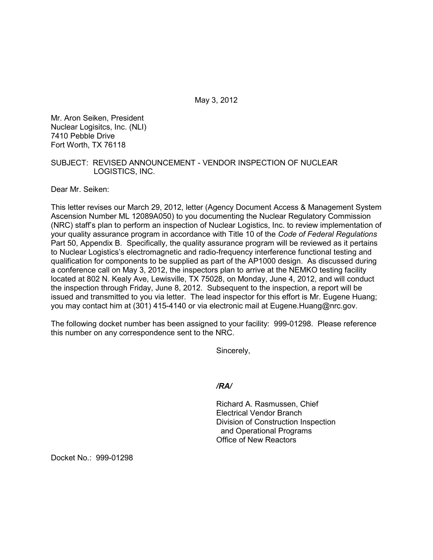May 3, 2012

Mr. Aron Seiken, President Nuclear Logisitcs, Inc. (NLI) 7410 Pebble Drive Fort Worth, TX 76118

## SUBJECT: REVISED ANNOUNCEMENT - VENDOR INSPECTION OF NUCLEAR LOGISTICS, INC.

Dear Mr. Seiken:

This letter revises our March 29, 2012, letter (Agency Document Access & Management System Ascension Number ML 12089A050) to you documenting the Nuclear Regulatory Commission (NRC) staff's plan to perform an inspection of Nuclear Logistics, Inc. to review implementation of your quality assurance program in accordance with Title 10 of the *Code of Federal Regulations*  Part 50, Appendix B. Specifically, the quality assurance program will be reviewed as it pertains to Nuclear Logistics's electromagnetic and radio-frequency interference functional testing and qualification for components to be supplied as part of the AP1000 design. As discussed during a conference call on May 3, 2012, the inspectors plan to arrive at the NEMKO testing facility located at 802 N. Kealy Ave, Lewisville, TX 75028, on Monday, June 4, 2012, and will conduct the inspection through Friday, June 8, 2012. Subsequent to the inspection, a report will be issued and transmitted to you via letter. The lead inspector for this effort is Mr. Eugene Huang; you may contact him at (301) 415-4140 or via electronic mail at Eugene.Huang@nrc.gov.

The following docket number has been assigned to your facility: 999-01298. Please reference this number on any correspondence sent to the NRC.

Sincerely,

*/RA/* 

Richard A. Rasmussen, Chief Electrical Vendor Branch Division of Construction Inspection and Operational Programs Office of New Reactors

Docket No.: 999-01298